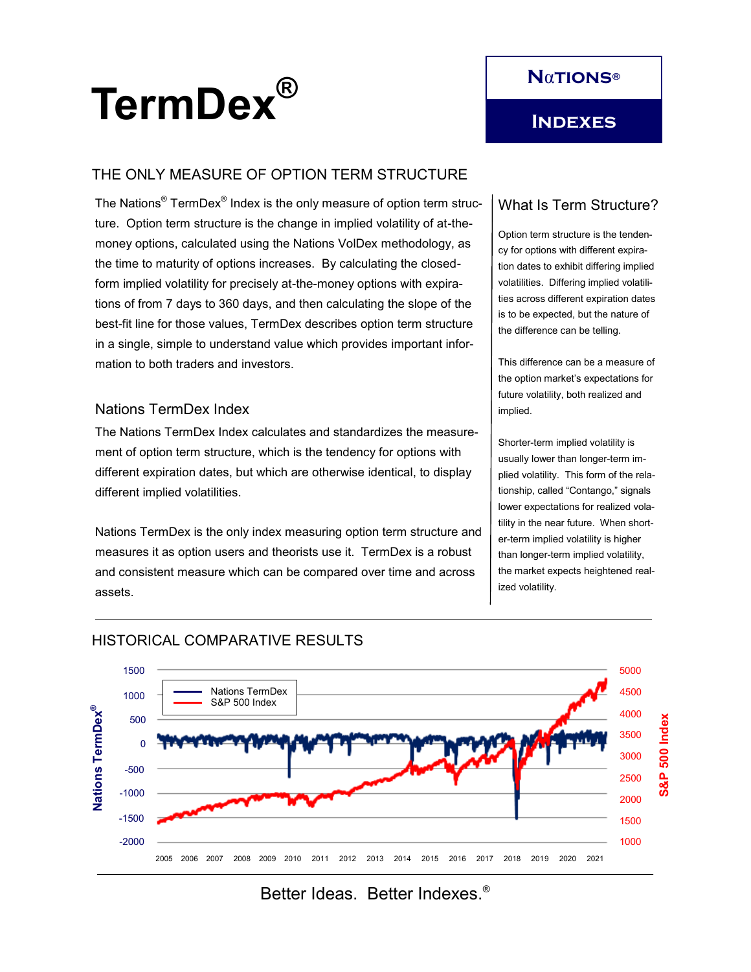

# THE ONLY MEASURE OF OPTION TERM STRUCTURE

The Nations $^\circ$  TermDex $^\circ$  Index is the only measure of option term structure. Option term structure is the change in implied volatility of at-themoney options, calculated using the Nations VolDex methodology, as the time to maturity of options increases. By calculating the closedform implied volatility for precisely at-the-money options with expirations of from 7 days to 360 days, and then calculating the slope of the best-fit line for those values, TermDex describes option term structure in a single, simple to understand value which provides important information to both traders and investors.

#### Nations TermDex Index

The Nations TermDex Index calculates and standardizes the measurement of option term structure, which is the tendency for options with different expiration dates, but which are otherwise identical, to display different implied volatilities.

Nations TermDex is the only index measuring option term structure and measures it as option users and theorists use it. TermDex is a robust and consistent measure which can be compared over time and across assets.

# What Is Term Structure?

Option term structure is the tendency for options with different expiration dates to exhibit differing implied volatilities. Differing implied volatilities across different expiration dates is to be expected, but the nature of the difference can be telling.

This difference can be a measure of the option market's expectations for future volatility, both realized and implied.

Shorter-term implied volatility is usually lower than longer-term implied volatility. This form of the relationship, called "Contango," signals lower expectations for realized volatility in the near future. When shorter-term implied volatility is higher than longer-term implied volatility, the market expects heightened realized volatility.



# HISTORICAL COMPARATIVE RESULTS

Better Ideas. Better Indexes.®